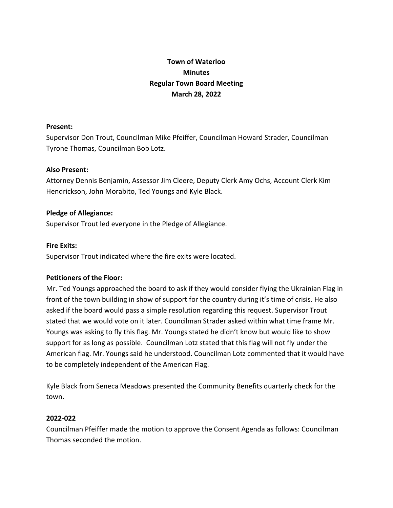# **Town of Waterloo Minutes Regular Town Board Meeting March 28, 2022**

## **Present:**

Supervisor Don Trout, Councilman Mike Pfeiffer, Councilman Howard Strader, Councilman Tyrone Thomas, Councilman Bob Lotz.

## **Also Present:**

Attorney Dennis Benjamin, Assessor Jim Cleere, Deputy Clerk Amy Ochs, Account Clerk Kim Hendrickson, John Morabito, Ted Youngs and Kyle Black.

## **Pledge of Allegiance:**

Supervisor Trout led everyone in the Pledge of Allegiance.

## **Fire Exits:**

Supervisor Trout indicated where the fire exits were located.

## **Petitioners of the Floor:**

Mr. Ted Youngs approached the board to ask if they would consider flying the Ukrainian Flag in front of the town building in show of support for the country during it's time of crisis. He also asked if the board would pass a simple resolution regarding this request. Supervisor Trout stated that we would vote on it later. Councilman Strader asked within what time frame Mr. Youngs was asking to fly this flag. Mr. Youngs stated he didn't know but would like to show support for as long as possible. Councilman Lotz stated that this flag will not fly under the American flag. Mr. Youngs said he understood. Councilman Lotz commented that it would have to be completely independent of the American Flag.

Kyle Black from Seneca Meadows presented the Community Benefits quarterly check for the town.

## **2022-022**

Councilman Pfeiffer made the motion to approve the Consent Agenda as follows: Councilman Thomas seconded the motion.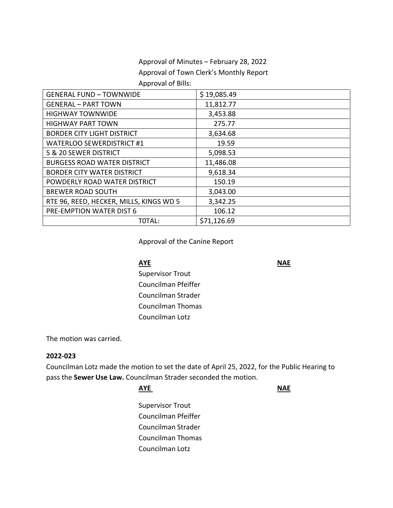# Approval of Minutes – February 28, 2022 Approval of Town Clerk's Monthly Report Approval of Bills:

| <b>GENERAL FUND - TOWNWIDE</b>          | \$19,085.49 |
|-----------------------------------------|-------------|
| <b>GENERAL - PART TOWN</b>              | 11,812.77   |
| <b>HIGHWAY TOWNWIDE</b>                 | 3,453.88    |
| <b>HIGHWAY PART TOWN</b>                | 275.77      |
| <b>BORDER CITY LIGHT DISTRICT</b>       | 3,634.68    |
| <b>WATERLOO SEWERDISTRICT #1</b>        | 19.59       |
| 5 & 20 SEWER DISTRICT                   | 5,098.53    |
| <b>BURGESS ROAD WATER DISTRICT</b>      | 11,486.08   |
| <b>BORDER CITY WATER DISTRICT</b>       | 9,618.34    |
| POWDERLY ROAD WATER DISTRICT            | 150.19      |
| <b>BREWER ROAD SOUTH</b>                | 3,043.00    |
| RTE 96, REED, HECKER, MILLS, KINGS WD 5 | 3,342.25    |
| PRE-EMPTION WATER DIST 6                | 106.12      |
| TOTAL:                                  | \$71,126.69 |

## Approval of the Canine Report

### **AYE** NAE

Supervisor Trout Councilman Pfeiffer Councilman Strader Councilman Thomas Councilman Lotz

The motion was carried.

### **2022-023**

Councilman Lotz made the motion to set the date of April 25, 2022, for the Public Hearing to pass the **Sewer Use Law.** Councilman Strader seconded the motion.

| <b>AYE</b>               | <b>NAE</b> |
|--------------------------|------------|
| <b>Supervisor Trout</b>  |            |
| Councilman Pfeiffer      |            |
| Councilman Strader       |            |
| <b>Councilman Thomas</b> |            |
| Councilman Lotz          |            |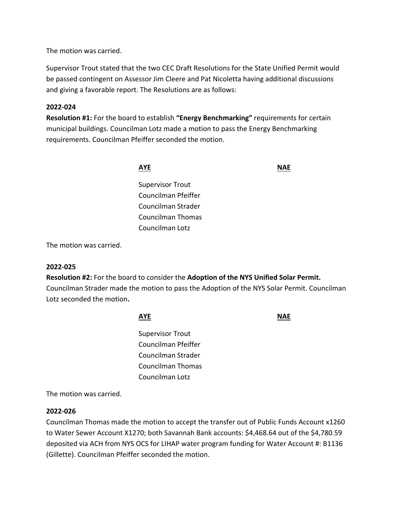The motion was carried.

Supervisor Trout stated that the two CEC Draft Resolutions for the State Unified Permit would be passed contingent on Assessor Jim Cleere and Pat Nicoletta having additional discussions and giving a favorable report. The Resolutions are as follows:

## **2022-024**

**Resolution #1:** For the board to establish **"Energy Benchmarking"** requirements for certain municipal buildings. Councilman Lotz made a motion to pass the Energy Benchmarking requirements. Councilman Pfeiffer seconded the motion.

**AYE** NAE

Supervisor Trout Councilman Pfeiffer Councilman Strader Councilman Thomas Councilman Lotz

The motion was carried.

### **2022-025**

**Resolution #2:** For the board to consider the **Adoption of the NYS Unified Solar Permit.**  Councilman Strader made the motion to pass the Adoption of the NYS Solar Permit. Councilman Lotz seconded the motion**.** 

**AYE** NAE

Supervisor Trout Councilman Pfeiffer Councilman Strader Councilman Thomas Councilman Lotz

The motion was carried.

### **2022-026**

Councilman Thomas made the motion to accept the transfer out of Public Funds Account x1260 to Water Sewer Account X1270; both Savannah Bank accounts: \$4,468.64 out of the \$4,780.59 deposited via ACH from NYS OCS for LIHAP water program funding for Water Account #: B1136 (Gillette). Councilman Pfeiffer seconded the motion.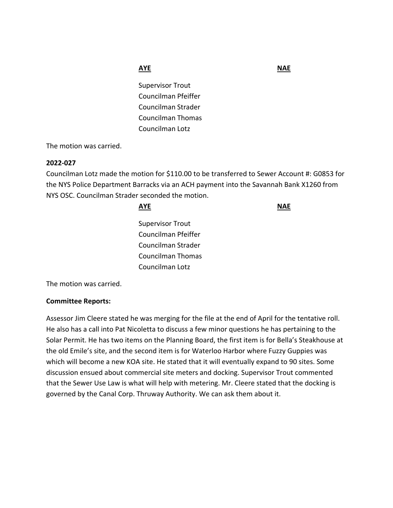**AYE** NAE

Supervisor Trout Councilman Pfeiffer Councilman Strader Councilman Thomas Councilman Lotz

The motion was carried.

### **2022-027**

Councilman Lotz made the motion for \$110.00 to be transferred to Sewer Account #: G0853 for the NYS Police Department Barracks via an ACH payment into the Savannah Bank X1260 from NYS OSC. Councilman Strader seconded the motion.

| <b>AYE</b>              |  |
|-------------------------|--|
| <b>Supervisor Trout</b> |  |
| Councilman Pfeiffer     |  |
| Councilman Strader      |  |
| Councilman Thomas       |  |
| Councilman Lotz         |  |

The motion was carried.

## **Committee Reports:**

Assessor Jim Cleere stated he was merging for the file at the end of April for the tentative roll. He also has a call into Pat Nicoletta to discuss a few minor questions he has pertaining to the Solar Permit. He has two items on the Planning Board, the first item is for Bella's Steakhouse at the old Emile's site, and the second item is for Waterloo Harbor where Fuzzy Guppies was which will become a new KOA site. He stated that it will eventually expand to 90 sites. Some discussion ensued about commercial site meters and docking. Supervisor Trout commented that the Sewer Use Law is what will help with metering. Mr. Cleere stated that the docking is governed by the Canal Corp. Thruway Authority. We can ask them about it.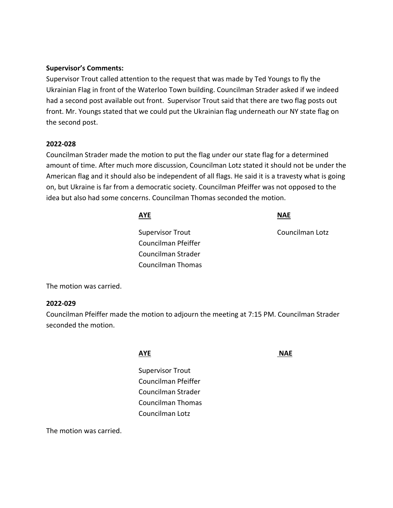### **Supervisor's Comments:**

Supervisor Trout called attention to the request that was made by Ted Youngs to fly the Ukrainian Flag in front of the Waterloo Town building. Councilman Strader asked if we indeed had a second post available out front. Supervisor Trout said that there are two flag posts out front. Mr. Youngs stated that we could put the Ukrainian flag underneath our NY state flag on the second post.

### **2022-028**

Councilman Strader made the motion to put the flag under our state flag for a determined amount of time. After much more discussion, Councilman Lotz stated it should not be under the American flag and it should also be independent of all flags. He said it is a travesty what is going on, but Ukraine is far from a democratic society. Councilman Pfeiffer was not opposed to the idea but also had some concerns. Councilman Thomas seconded the motion.

| AYE                 | <b>NAE</b>      |
|---------------------|-----------------|
| Supervisor Trout    | Councilman Lotz |
| Councilman Pfeiffer |                 |
| Councilman Strader  |                 |
| Councilman Thomas   |                 |
|                     |                 |

The motion was carried.

### **2022-029**

Councilman Pfeiffer made the motion to adjourn the meeting at 7:15 PM. Councilman Strader seconded the motion.

### **AYE NAE**

Supervisor Trout Councilman Pfeiffer Councilman Strader Councilman Thomas Councilman Lotz

The motion was carried.